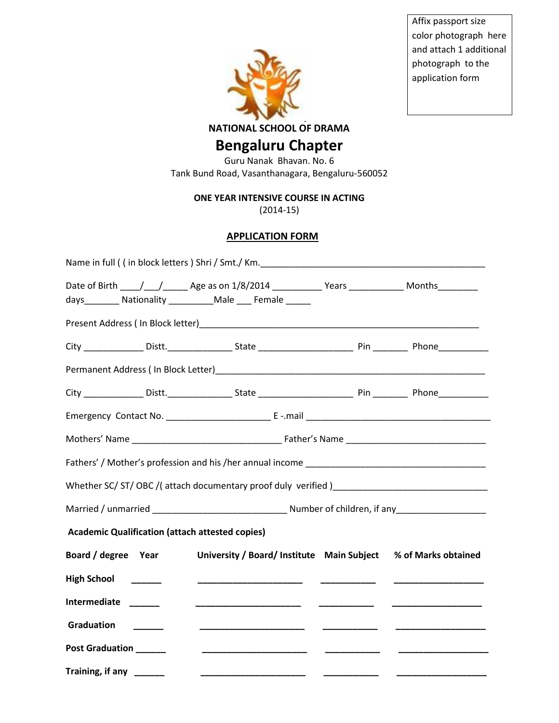

Affix passport size color photograph here and attach 1 additional photograph to the application form

**NATIONAL SCHOOL OF DRAMA**

## **Bengaluru Chapter**

Guru Nanak Bhavan. No. 6 Tank Bund Road, Vasanthanagara, Bengaluru-560052

**ONE YEAR INTENSIVE COURSE IN ACTING**

(2014-15)

## **APPLICATION FORM**

|                                                        | Date of Birth ____/___/________ Age as on 1/8/2014 ______________Years _______________ Months__________ |          |  |
|--------------------------------------------------------|---------------------------------------------------------------------------------------------------------|----------|--|
|                                                        | days__________ Nationality ___________ Male ____ Female ______                                          |          |  |
|                                                        |                                                                                                         |          |  |
|                                                        |                                                                                                         |          |  |
|                                                        |                                                                                                         |          |  |
|                                                        |                                                                                                         |          |  |
|                                                        |                                                                                                         |          |  |
|                                                        |                                                                                                         |          |  |
|                                                        |                                                                                                         |          |  |
|                                                        | Whether SC/ST/OBC/(attach documentary proof duly verified)_______________________                       |          |  |
|                                                        |                                                                                                         |          |  |
| <b>Academic Qualification (attach attested copies)</b> |                                                                                                         |          |  |
| Board / degree Year                                    | University / Board/ Institute Main Subject % of Marks obtained                                          |          |  |
| <b>High School</b>                                     |                                                                                                         |          |  |
| Intermediate _____                                     |                                                                                                         |          |  |
| Graduation                                             |                                                                                                         |          |  |
| <b>Post Graduation</b>                                 |                                                                                                         |          |  |
| Training, if any ______                                |                                                                                                         | ___ _ __ |  |